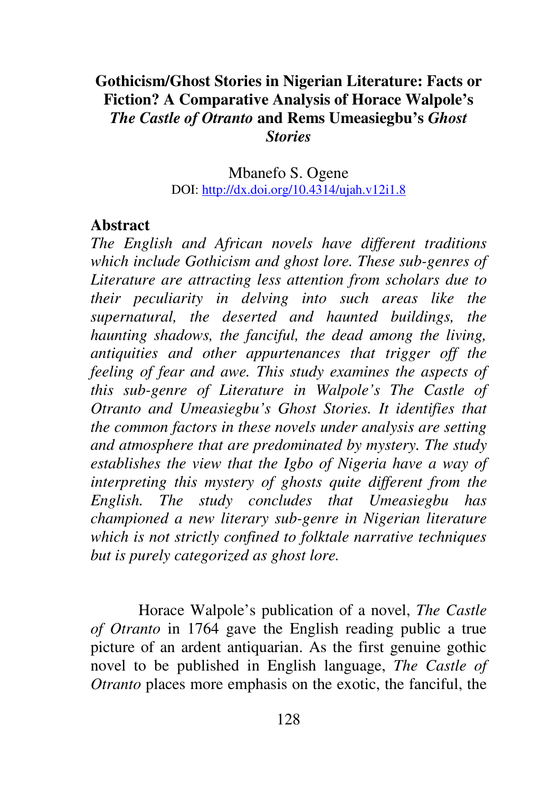### **Gothicism/Ghost Stories in Nigerian Literature: Facts or Fiction? A Comparative Analysis of Horace Walpole's** *The Castle of Otranto* **and Rems Umeasiegbu's** *Ghost Stories*

Mbanefo S. Ogene DOI: http://dx.doi.org/10.4314/ujah.v12i1.8

#### **Abstract**

*The English and African novels have different traditions which include Gothicism and ghost lore. These sub-genres of Literature are attracting less attention from scholars due to their peculiarity in delving into such areas like the supernatural, the deserted and haunted buildings, the haunting shadows, the fanciful, the dead among the living, antiquities and other appurtenances that trigger off the feeling of fear and awe. This study examines the aspects of this sub-genre of Literature in Walpole's The Castle of Otranto and Umeasiegbu's Ghost Stories. It identifies that the common factors in these novels under analysis are setting and atmosphere that are predominated by mystery. The study establishes the view that the Igbo of Nigeria have a way of interpreting this mystery of ghosts quite different from the English. The study concludes that Umeasiegbu has championed a new literary sub-genre in Nigerian literature which is not strictly confined to folktale narrative techniques but is purely categorized as ghost lore.* 

Horace Walpole's publication of a novel, *The Castle of Otranto* in 1764 gave the English reading public a true picture of an ardent antiquarian. As the first genuine gothic novel to be published in English language, *The Castle of Otranto* places more emphasis on the exotic, the fanciful, the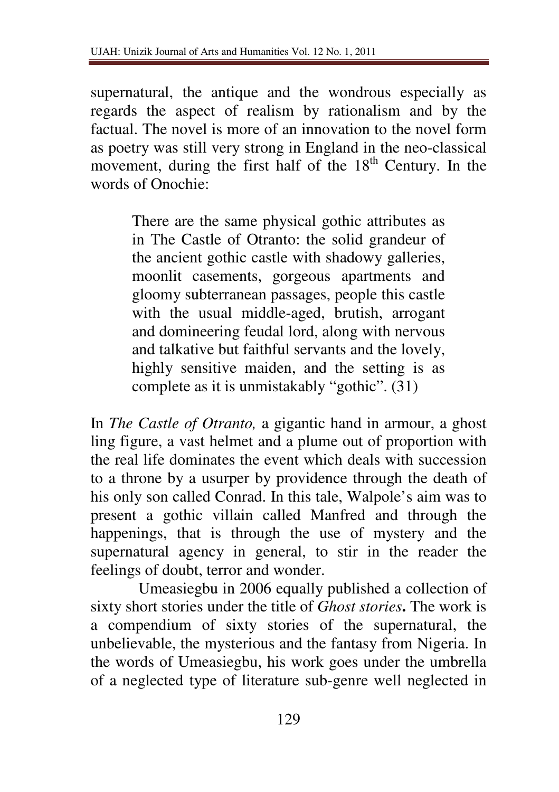supernatural, the antique and the wondrous especially as regards the aspect of realism by rationalism and by the factual. The novel is more of an innovation to the novel form as poetry was still very strong in England in the neo-classical movement, during the first half of the  $18<sup>th</sup>$  Century. In the words of Onochie:

> There are the same physical gothic attributes as in The Castle of Otranto: the solid grandeur of the ancient gothic castle with shadowy galleries, moonlit casements, gorgeous apartments and gloomy subterranean passages, people this castle with the usual middle-aged, brutish, arrogant and domineering feudal lord, along with nervous and talkative but faithful servants and the lovely, highly sensitive maiden, and the setting is as complete as it is unmistakably "gothic". (31)

In *The Castle of Otranto,* a gigantic hand in armour, a ghost ling figure, a vast helmet and a plume out of proportion with the real life dominates the event which deals with succession to a throne by a usurper by providence through the death of his only son called Conrad. In this tale, Walpole's aim was to present a gothic villain called Manfred and through the happenings, that is through the use of mystery and the supernatural agency in general, to stir in the reader the feelings of doubt, terror and wonder.

Umeasiegbu in 2006 equally published a collection of sixty short stories under the title of *Ghost stories***.** The work is a compendium of sixty stories of the supernatural, the unbelievable, the mysterious and the fantasy from Nigeria. In the words of Umeasiegbu, his work goes under the umbrella of a neglected type of literature sub-genre well neglected in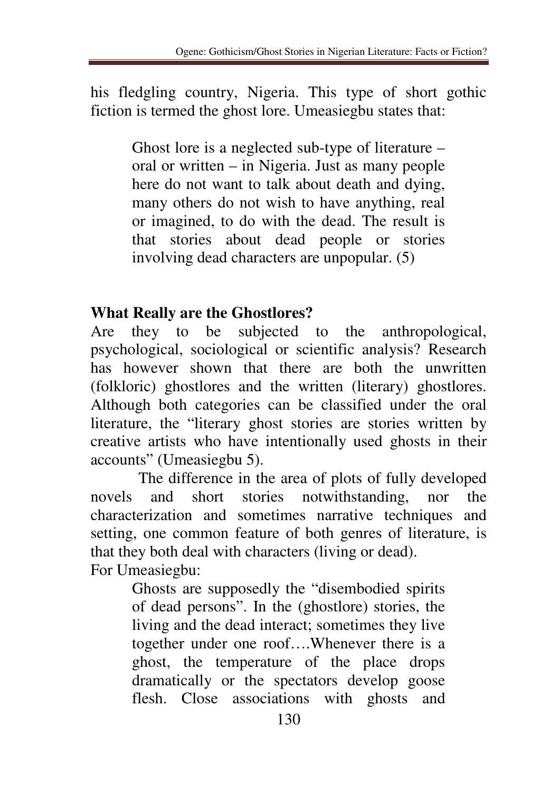his fledgling country, Nigeria. This type of short gothic fiction is termed the ghost lore. Umeasiegbu states that:

> Ghost lore is a neglected sub-type of literature – oral or written – in Nigeria. Just as many people here do not want to talk about death and dying, many others do not wish to have anything, real or imagined, to do with the dead. The result is that stories about dead people or stories involving dead characters are unpopular. (5)

## **What Really are the Ghostlores?**

Are they to be subjected to the anthropological, psychological, sociological or scientific analysis? Research has however shown that there are both the unwritten (folkloric) ghostlores and the written (literary) ghostlores. Although both categories can be classified under the oral literature, the "literary ghost stories are stories written by creative artists who have intentionally used ghosts in their accounts" (Umeasiegbu 5).

The difference in the area of plots of fully developed novels and short stories notwithstanding, nor the characterization and sometimes narrative techniques and setting, one common feature of both genres of literature, is that they both deal with characters (living or dead). For Umeasiegbu:

> Ghosts are supposedly the "disembodied spirits of dead persons". In the (ghostlore) stories, the living and the dead interact; sometimes they live together under one roof….Whenever there is a ghost, the temperature of the place drops dramatically or the spectators develop goose flesh. Close associations with ghosts and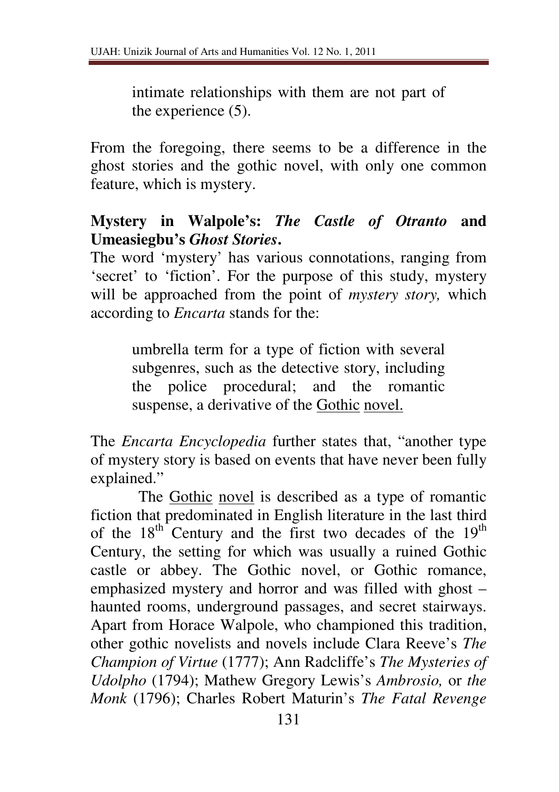intimate relationships with them are not part of the experience (5).

From the foregoing, there seems to be a difference in the ghost stories and the gothic novel, with only one common feature, which is mystery.

### **Mystery in Walpole's:** *The Castle of Otranto* **and Umeasiegbu's** *Ghost Stories***.**

The word 'mystery' has various connotations, ranging from 'secret' to 'fiction'. For the purpose of this study, mystery will be approached from the point of *mystery story,* which according to *Encarta* stands for the:

> umbrella term for a type of fiction with several subgenres, such as the detective story, including the police procedural; and the romantic suspense, a derivative of the Gothic novel.

The *Encarta Encyclopedia* further states that, "another type of mystery story is based on events that have never been fully explained."

The Gothic novel is described as a type of romantic fiction that predominated in English literature in the last third of the  $18<sup>th</sup>$  Century and the first two decades of the  $19<sup>th</sup>$ Century, the setting for which was usually a ruined Gothic castle or abbey. The Gothic novel, or Gothic romance, emphasized mystery and horror and was filled with ghost – haunted rooms, underground passages, and secret stairways. Apart from Horace Walpole, who championed this tradition, other gothic novelists and novels include Clara Reeve's *The Champion of Virtue* (1777); Ann Radcliffe's *The Mysteries of Udolpho* (1794); Mathew Gregory Lewis's *Ambrosio,* or *the Monk* (1796); Charles Robert Maturin's *The Fatal Revenge*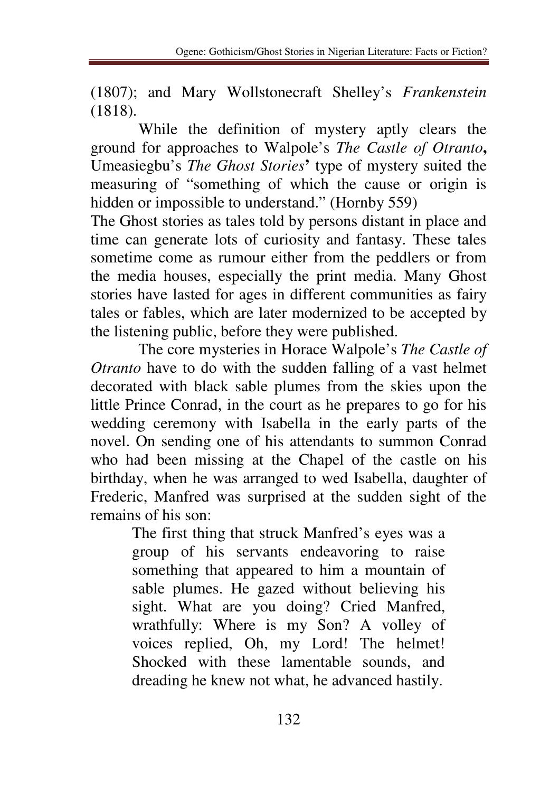(1807); and Mary Wollstonecraft Shelley's *Frankenstein*  (1818).

While the definition of mystery aptly clears the ground for approaches to Walpole's *The Castle of Otranto***,** Umeasiegbu's *The Ghost Stories***'** type of mystery suited the measuring of "something of which the cause or origin is hidden or impossible to understand." (Hornby 559)

The Ghost stories as tales told by persons distant in place and time can generate lots of curiosity and fantasy. These tales sometime come as rumour either from the peddlers or from the media houses, especially the print media. Many Ghost stories have lasted for ages in different communities as fairy tales or fables, which are later modernized to be accepted by the listening public, before they were published.

The core mysteries in Horace Walpole's *The Castle of Otranto* have to do with the sudden falling of a vast helmet decorated with black sable plumes from the skies upon the little Prince Conrad, in the court as he prepares to go for his wedding ceremony with Isabella in the early parts of the novel. On sending one of his attendants to summon Conrad who had been missing at the Chapel of the castle on his birthday, when he was arranged to wed Isabella, daughter of Frederic, Manfred was surprised at the sudden sight of the remains of his son:

> The first thing that struck Manfred's eyes was a group of his servants endeavoring to raise something that appeared to him a mountain of sable plumes. He gazed without believing his sight. What are you doing? Cried Manfred, wrathfully: Where is my Son? A volley of voices replied, Oh, my Lord! The helmet! Shocked with these lamentable sounds, and dreading he knew not what, he advanced hastily.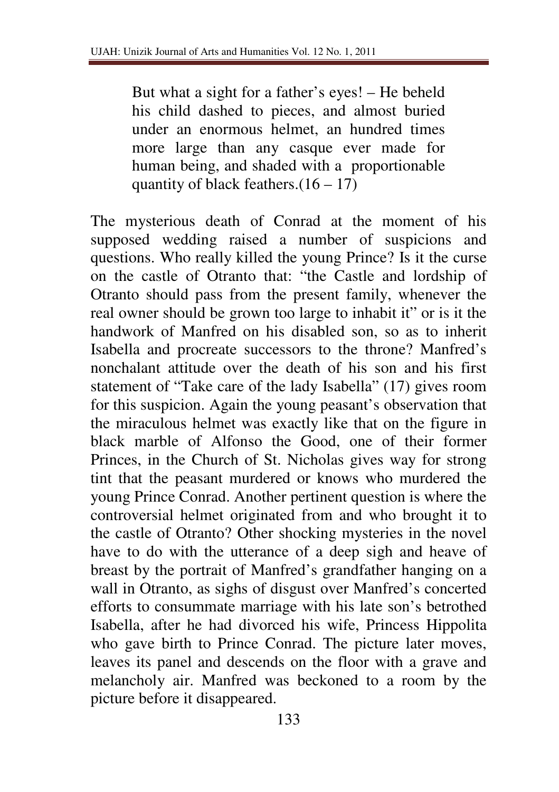But what a sight for a father's eyes! – He beheld his child dashed to pieces, and almost buried under an enormous helmet, an hundred times more large than any casque ever made for human being, and shaded with a proportionable quantity of black feathers. $(16 - 17)$ 

The mysterious death of Conrad at the moment of his supposed wedding raised a number of suspicions and questions. Who really killed the young Prince? Is it the curse on the castle of Otranto that: "the Castle and lordship of Otranto should pass from the present family, whenever the real owner should be grown too large to inhabit it" or is it the handwork of Manfred on his disabled son, so as to inherit Isabella and procreate successors to the throne? Manfred's nonchalant attitude over the death of his son and his first statement of "Take care of the lady Isabella" (17) gives room for this suspicion. Again the young peasant's observation that the miraculous helmet was exactly like that on the figure in black marble of Alfonso the Good, one of their former Princes, in the Church of St. Nicholas gives way for strong tint that the peasant murdered or knows who murdered the young Prince Conrad. Another pertinent question is where the controversial helmet originated from and who brought it to the castle of Otranto? Other shocking mysteries in the novel have to do with the utterance of a deep sigh and heave of breast by the portrait of Manfred's grandfather hanging on a wall in Otranto, as sighs of disgust over Manfred's concerted efforts to consummate marriage with his late son's betrothed Isabella, after he had divorced his wife, Princess Hippolita who gave birth to Prince Conrad. The picture later moves, leaves its panel and descends on the floor with a grave and melancholy air. Manfred was beckoned to a room by the picture before it disappeared.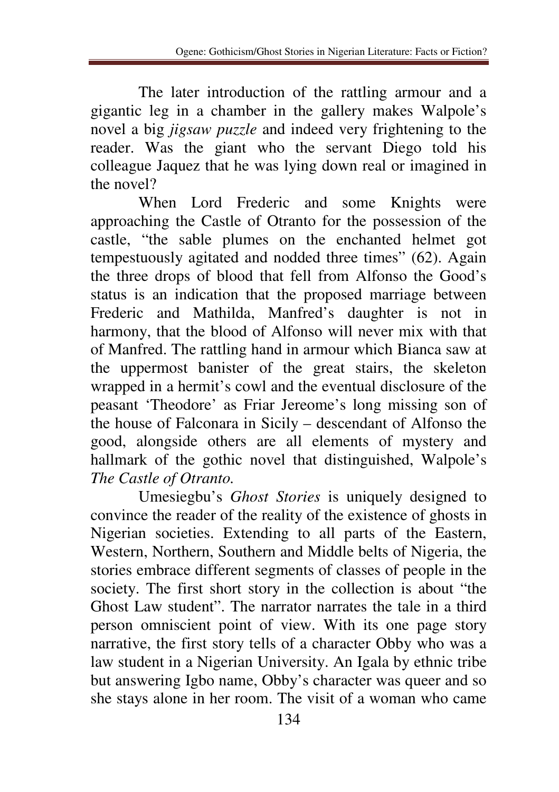The later introduction of the rattling armour and a gigantic leg in a chamber in the gallery makes Walpole's novel a big *jigsaw puzzle* and indeed very frightening to the reader. Was the giant who the servant Diego told his colleague Jaquez that he was lying down real or imagined in the novel?

 When Lord Frederic and some Knights were approaching the Castle of Otranto for the possession of the castle, "the sable plumes on the enchanted helmet got tempestuously agitated and nodded three times" (62). Again the three drops of blood that fell from Alfonso the Good's status is an indication that the proposed marriage between Frederic and Mathilda, Manfred's daughter is not in harmony, that the blood of Alfonso will never mix with that of Manfred. The rattling hand in armour which Bianca saw at the uppermost banister of the great stairs, the skeleton wrapped in a hermit's cowl and the eventual disclosure of the peasant 'Theodore' as Friar Jereome's long missing son of the house of Falconara in Sicily – descendant of Alfonso the good, alongside others are all elements of mystery and hallmark of the gothic novel that distinguished, Walpole's *The Castle of Otranto.*

Umesiegbu's *Ghost Stories* is uniquely designed to convince the reader of the reality of the existence of ghosts in Nigerian societies. Extending to all parts of the Eastern, Western, Northern, Southern and Middle belts of Nigeria, the stories embrace different segments of classes of people in the society. The first short story in the collection is about "the Ghost Law student". The narrator narrates the tale in a third person omniscient point of view. With its one page story narrative, the first story tells of a character Obby who was a law student in a Nigerian University. An Igala by ethnic tribe but answering Igbo name, Obby's character was queer and so she stays alone in her room. The visit of a woman who came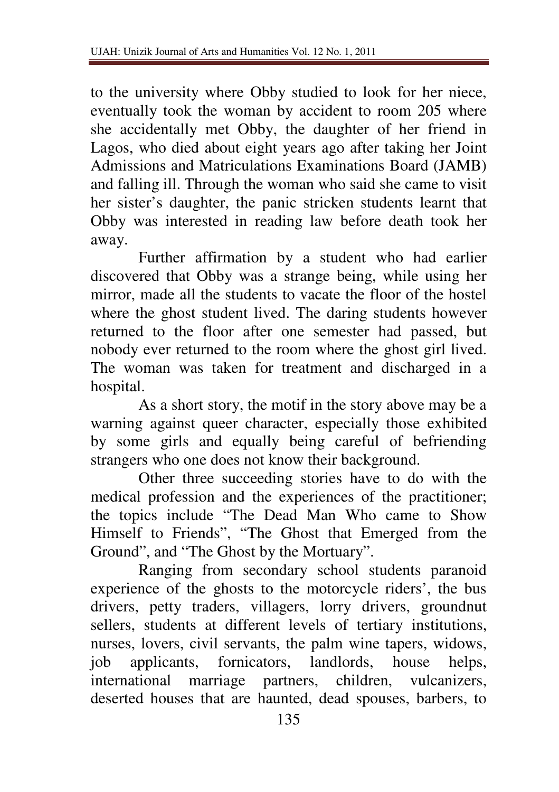to the university where Obby studied to look for her niece, eventually took the woman by accident to room 205 where she accidentally met Obby, the daughter of her friend in Lagos, who died about eight years ago after taking her Joint Admissions and Matriculations Examinations Board (JAMB) and falling ill. Through the woman who said she came to visit her sister's daughter, the panic stricken students learnt that Obby was interested in reading law before death took her away.

Further affirmation by a student who had earlier discovered that Obby was a strange being, while using her mirror, made all the students to vacate the floor of the hostel where the ghost student lived. The daring students however returned to the floor after one semester had passed, but nobody ever returned to the room where the ghost girl lived. The woman was taken for treatment and discharged in a hospital.

As a short story, the motif in the story above may be a warning against queer character, especially those exhibited by some girls and equally being careful of befriending strangers who one does not know their background.

Other three succeeding stories have to do with the medical profession and the experiences of the practitioner; the topics include "The Dead Man Who came to Show Himself to Friends", "The Ghost that Emerged from the Ground", and "The Ghost by the Mortuary".

Ranging from secondary school students paranoid experience of the ghosts to the motorcycle riders', the bus drivers, petty traders, villagers, lorry drivers, groundnut sellers, students at different levels of tertiary institutions, nurses, lovers, civil servants, the palm wine tapers, widows, job applicants, fornicators, landlords, house helps, international marriage partners, children, vulcanizers, deserted houses that are haunted, dead spouses, barbers, to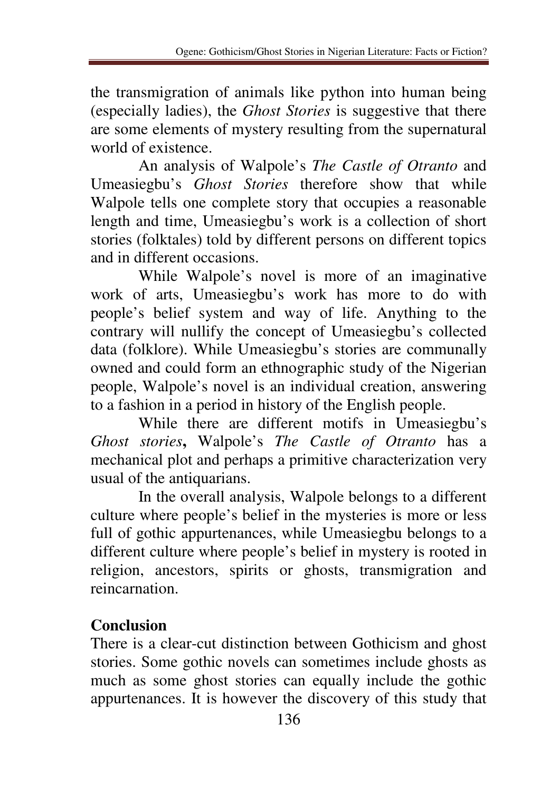the transmigration of animals like python into human being (especially ladies), the *Ghost Stories* is suggestive that there are some elements of mystery resulting from the supernatural world of existence.

An analysis of Walpole's *The Castle of Otranto* and Umeasiegbu's *Ghost Stories* therefore show that while Walpole tells one complete story that occupies a reasonable length and time, Umeasiegbu's work is a collection of short stories (folktales) told by different persons on different topics and in different occasions.

While Walpole's novel is more of an imaginative work of arts, Umeasiegbu's work has more to do with people's belief system and way of life. Anything to the contrary will nullify the concept of Umeasiegbu's collected data (folklore). While Umeasiegbu's stories are communally owned and could form an ethnographic study of the Nigerian people, Walpole's novel is an individual creation, answering to a fashion in a period in history of the English people.

While there are different motifs in Umeasiegbu's *Ghost stories***,** Walpole's *The Castle of Otranto* has a mechanical plot and perhaps a primitive characterization very usual of the antiquarians.

In the overall analysis, Walpole belongs to a different culture where people's belief in the mysteries is more or less full of gothic appurtenances, while Umeasiegbu belongs to a different culture where people's belief in mystery is rooted in religion, ancestors, spirits or ghosts, transmigration and reincarnation.

# **Conclusion**

There is a clear-cut distinction between Gothicism and ghost stories. Some gothic novels can sometimes include ghosts as much as some ghost stories can equally include the gothic appurtenances. It is however the discovery of this study that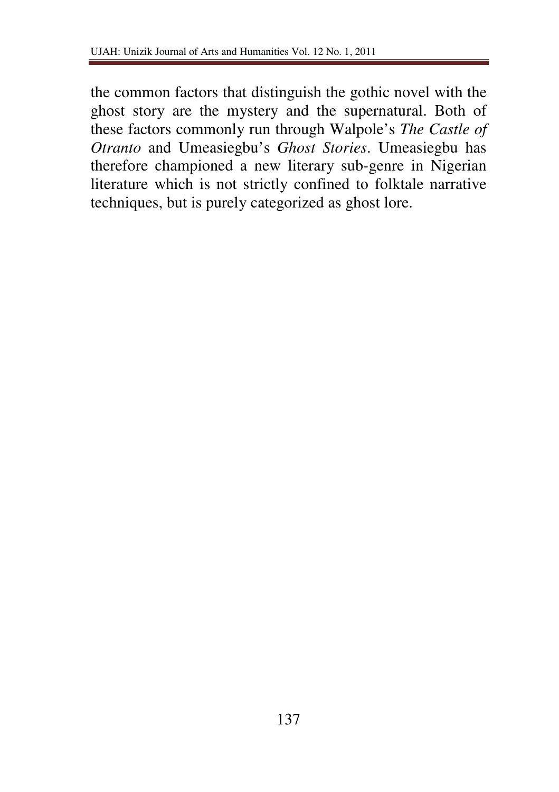the common factors that distinguish the gothic novel with the ghost story are the mystery and the supernatural. Both of these factors commonly run through Walpole's *The Castle of Otranto* and Umeasiegbu's *Ghost Stories*. Umeasiegbu has therefore championed a new literary sub-genre in Nigerian literature which is not strictly confined to folktale narrative techniques, but is purely categorized as ghost lore.